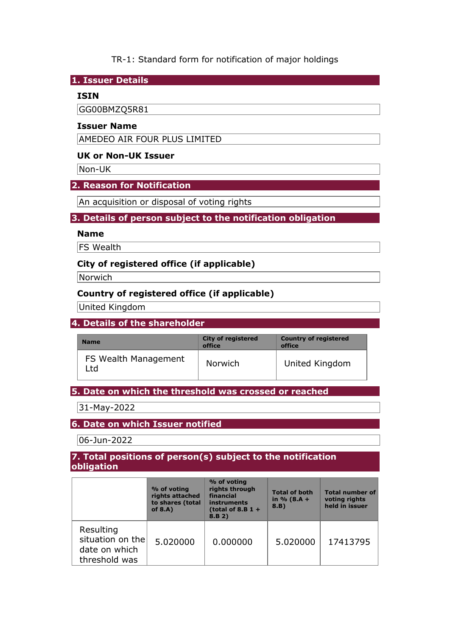## TR-1: Standard form for notification of major holdings

## **1. Issuer Details**

## **ISIN**

GG00BMZQ5R81

## **Issuer Name**

AMEDEO AIR FOUR PLUS LIMITED

## **UK or Non-UK Issuer**

Non-UK

### **2. Reason for Notification**

An acquisition or disposal of voting rights

## **3. Details of person subject to the notification obligation**

#### **Name**

**FS** Wealth

## **City of registered office (if applicable)**

**Norwich** 

# **Country of registered office (if applicable)**

United Kingdom

## **4. Details of the shareholder**

| <b>Name</b>                  | <b>City of registered</b><br>office | <b>Country of registered</b><br>office |
|------------------------------|-------------------------------------|----------------------------------------|
| FS Wealth Management<br>l td | <b>Norwich</b>                      | United Kingdom                         |

### **5. Date on which the threshold was crossed or reached**

31-May-2022

## **6. Date on which Issuer notified**

06-Jun-2022

### **7. Total positions of person(s) subject to the notification obligation**

|                                                                 | % of voting<br>rights attached<br>to shares (total<br>of $8.A$ ) | % of voting<br>rights through<br>financial<br>instruments<br>(total of 8.B $1 +$<br>8.B 2) | <b>Total of both</b><br>in $% (8.A +$<br>8.B) | <b>Total number of</b><br>voting rights<br>held in issuer |
|-----------------------------------------------------------------|------------------------------------------------------------------|--------------------------------------------------------------------------------------------|-----------------------------------------------|-----------------------------------------------------------|
| Resulting<br>situation on the<br>date on which<br>threshold was | 5.020000                                                         | 0.000000                                                                                   | 5.020000                                      | 17413795                                                  |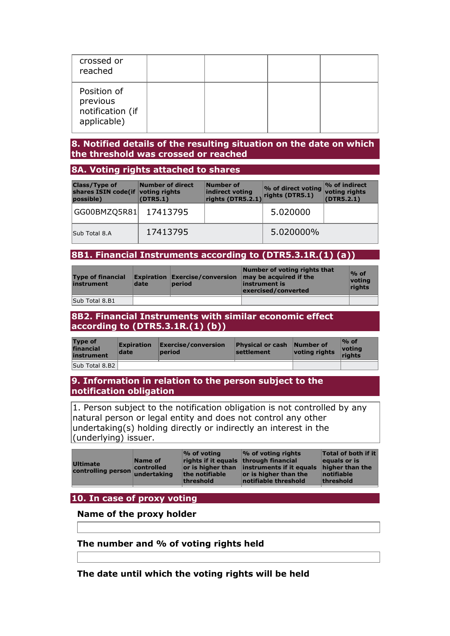| crossed or<br>reached                                      |  |  |
|------------------------------------------------------------|--|--|
| Position of<br>previous<br>notification (if<br>applicable) |  |  |

## **8. Notified details of the resulting situation on the date on which the threshold was crossed or reached**

## **8A. Voting rights attached to shares**

| <b>Class/Type of</b><br>shares ISIN code(if voting rights<br>possible) | <b>Number of direct</b><br>(DTR5.1) | Number of<br>indirect voting<br>rights (DTR5.2.1) | % of direct voting<br>rights (DTR5.1) | $\sim$ of indirect<br>voting rights<br>(DTR5.2.1) |
|------------------------------------------------------------------------|-------------------------------------|---------------------------------------------------|---------------------------------------|---------------------------------------------------|
| GG00BMZQ5R81                                                           | 17413795                            |                                                   | 5.020000                              |                                                   |
| Sub Total 8.A                                                          | 17413795                            |                                                   | 5.020000%                             |                                                   |

## **8B1. Financial Instruments according to (DTR5.3.1R.(1) (a))**

| <b>Type of financial</b><br>instrument | date | period | Number of voting rights that<br><b>Expiration Exercise/conversion <math>\vert</math> may be acquired if the</b><br>linstrument is<br>exercised/converted | $%$ of<br>votina<br>rights |
|----------------------------------------|------|--------|----------------------------------------------------------------------------------------------------------------------------------------------------------|----------------------------|
| Sub Total 8.B1                         |      |        |                                                                                                                                                          |                            |

### **8B2. Financial Instruments with similar economic effect according to (DTR5.3.1R.(1) (b))**

| <b>Type of</b><br>financial<br>instrument | <b>Expiration</b><br>date | Exercise/conversion<br>period | <b>Physical or cash Number of</b><br><b>settlement</b> | voting rights | $\%$ of<br><u> votina</u><br>riahts |
|-------------------------------------------|---------------------------|-------------------------------|--------------------------------------------------------|---------------|-------------------------------------|
| Sub Total 8.B2                            |                           |                               |                                                        |               |                                     |

## **9. Information in relation to the person subject to the notification obligation**

1. Person subject to the notification obligation is not controlled by any natural person or legal entity and does not control any other undertaking(s) holding directly or indirectly an interest in the (underlying) issuer.

|--|

## **10. In case of proxy voting**

#### **Name of the proxy holder**

### **The number and % of voting rights held**

**The date until which the voting rights will be held**